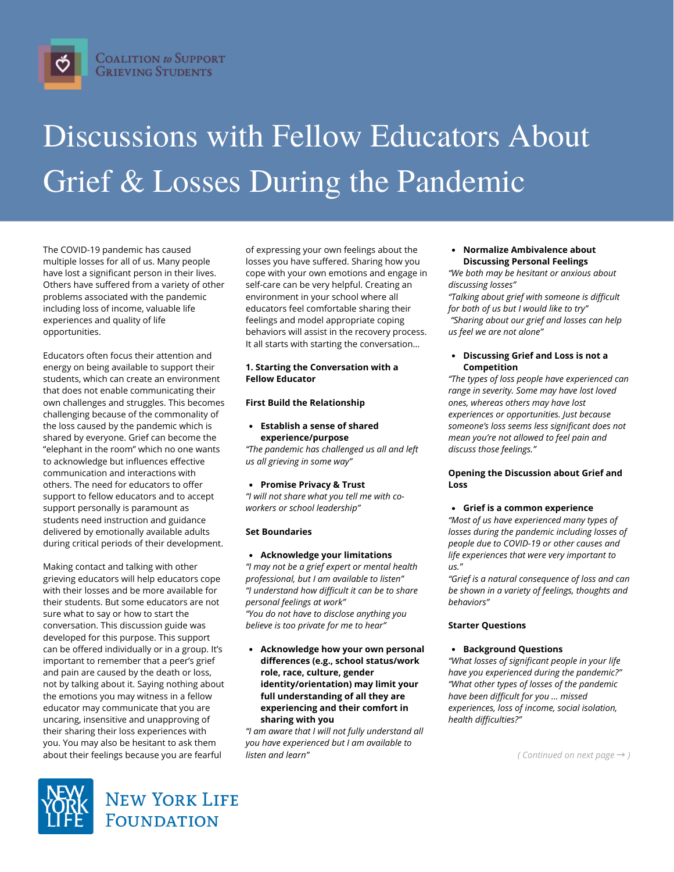

# Discussions with Fellow Educators About Grief & Losses During the Pandemic

The COVID-19 pandemic has caused multiple losses for all of us. Many people have lost a significant person in their lives. Others have suffered from a variety of other problems associated with the pandemic including loss of income, valuable life experiences and quality of life opportunities.

Educators often focus their attention and energy on being available to support their students, which can create an environment that does not enable communicating their own challenges and struggles. This becomes challenging because of the commonality of the loss caused by the pandemic which is shared by everyone. Grief can become the "elephant in the room" which no one wants to acknowledge but influences effective communication and interactions with others. The need for educators to offer support to fellow educators and to accept support personally is paramount as students need instruction and guidance delivered by emotionally available adults during critical periods of their development.

Making contact and talking with other grieving educators will help educators cope with their losses and be more available for their students. But some educators are not sure what to say or how to start the conversation. This discussion guide was developed for this purpose. This support can be offered individually or in a group. It's important to remember that a peer's grief and pain are caused by the death or loss, not by talking about it. Saying nothing about the emotions you may witness in a fellow educator may communicate that you are uncaring, insensitive and unapproving of their sharing their loss experiences with you. You may also be hesitant to ask them about their feelings because you are fearful

of expressing your own feelings about the losses you have suffered. Sharing how you cope with your own emotions and engage in self-care can be very helpful. Creating an environment in your school where all educators feel comfortable sharing their feelings and model appropriate coping behaviors will assist in the recovery process. It all starts with starting the conversation…

# **1. Starting the Conversation with a Fellow Educator**

# **First Build the Relationship**

# **Establish a sense of shared experience/purpose**

*"The pandemic has challenged us all and left us all grieving in some way"*

# **Promise Privacy & Trust**

*"I will not share what you tell me with coworkers or school leadership"*

# **Set Boundaries**

**Acknowledge your limitations**

*"I may not be a grief expert or mental health professional, but I am available to listen" "I understand how difficult it can be to share personal feelings at work" "You do not have to disclose anything you believe is too private for me to hear"*

**Acknowledge how your own personal differences (e.g., school status/work role, race, culture, gender identity/orientation) may limit your full understanding of all they are experiencing and their comfort in sharing with you**

*"I am aware that I will not fully understand all you have experienced but I am available to listen and learn"*

# **Normalize Ambivalence about Discussing Personal Feelings**

*"We both may be hesitant or anxious about discussing losses"*

*"Talking about grief with someone is difficult for both of us but I would like to try" "Sharing about our grief and losses can help us feel we are not alone"*

## **Discussing Grief and Loss is not a Competition**

*"The types of loss people have experienced can range in severity. Some may have lost loved ones, whereas others may have lost experiences or opportunities. Just because someone's loss seems less significant does not mean you're not allowed to feel pain and discuss those feelings."*

# **Opening the Discussion about Grief and Loss**

# **Grief is a common experience**

*"Most of us have experienced many types of losses during the pandemic including losses of people due to COVID-19 or other causes and life experiences that were very important to us."*

*"Grief is a natural consequence of loss and can be shown in a variety of feelings, thoughts and behaviors"*

# **Starter Questions**

# **Background Questions**

*"What losses of significant people in your life have you experienced during the pandemic?" "What other types of losses of the pandemic have been difficult for you … missed experiences, loss of income, social isolation, health difficulties?"*

*( Continued on next page* → *)*



**NEW YORK LIFE FOUNDATION**